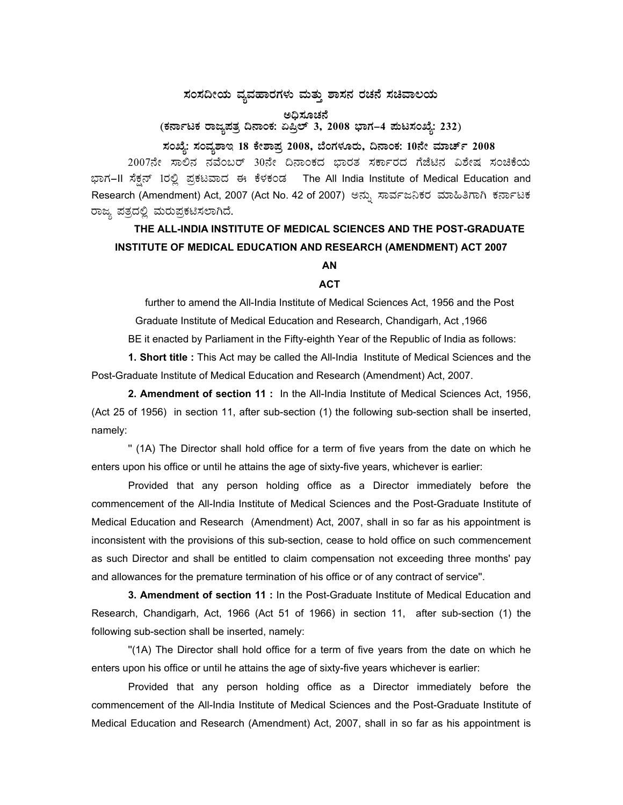## ಸಂಸದೀಯ ವ್ಯವಹಾರಗಳು ಮತ್ತು ಶಾಸನ ರಚನೆ ಸಚಿವಾಲಯ

(ಕರ್ನಾಟಕ ರಾಜ್ಯಪತ್ರ ದಿನಾಂಕ: ಏಪ್ರಿಲ್ 3, 2008 ಭಾಗ–4 ಪುಟಸಂಖ್ಯೆ: 232)

ಸಂಖ್ಯೆ: ಸಂವ್ಯಶಾಇ 18 ಕೇಶಾಪ್ರ 2008, ಬೆಂಗಳೂರು, ದಿನಾಂಕ: 10ನೇ ಮಾರ್ಚ್ 2008 2007ನೇ ಸಾಲಿನ ನವೆಂಬರ್ 30ನೇ ದಿನಾಂಕದ ಭಾರತ ಸರ್ಕಾರದ ಗೆಜೆಟಿನ ವಿಶೇಷ ಸಂಚಿಕೆಯ ಭಾಗ–II ಸೆಕ್ಷನ್ 1ರಲ್ಲಿ ಪ್ರಕಟವಾದ ಈ ಕೆಳಕಂಡ The All India Institute of Medical Education and Research (Amendment) Act, 2007 (Act No. 42 of 2007) ಅನ್ನು ಸಾರ್ವಜನಿಕರ ಮಾಹಿತಿಗಾಗಿ ಕರ್ನಾಟಕ ರಾಜ್ಯ ಪತ್ರದಲ್ಲಿ ಮರುಪ್ರಕಟಿಸಲಾಗಿದೆ.

## THE ALL-INDIA INSTITUTE OF MEDICAL SCIENCES AND THE POST-GRADUATE INSTITUTE OF MEDICAL EDUCATION AND RESEARCH (AMENDMENT) ACT 2007 AN

## **ACT**

further to amend the All-India Institute of Medical Sciences Act, 1956 and the Post Graduate Institute of Medical Education and Research, Chandigarh, Act, 1966 BE it enacted by Parliament in the Fifty-eighth Year of the Republic of India as follows:

1. Short title : This Act may be called the All-India Institute of Medical Sciences and the Post-Graduate Institute of Medical Education and Research (Amendment) Act, 2007.

2. Amendment of section 11: In the All-India Institute of Medical Sciences Act, 1956, (Act 25 of 1956) in section 11, after sub-section (1) the following sub-section shall be inserted, namely:

" (1A) The Director shall hold office for a term of five years from the date on which he enters upon his office or until he attains the age of sixty-five years, whichever is earlier:

Provided that any person holding office as a Director immediately before the commencement of the All-India Institute of Medical Sciences and the Post-Graduate Institute of Medical Education and Research (Amendment) Act, 2007, shall in so far as his appointment is inconsistent with the provisions of this sub-section, cease to hold office on such commencement as such Director and shall be entitled to claim compensation not exceeding three months' pay and allowances for the premature termination of his office or of any contract of service".

3. Amendment of section 11: In the Post-Graduate Institute of Medical Education and Research, Chandigarh, Act, 1966 (Act 51 of 1966) in section 11, after sub-section (1) the following sub-section shall be inserted, namely:

"(1A) The Director shall hold office for a term of five years from the date on which he enters upon his office or until he attains the age of sixty-five years whichever is earlier:

Provided that any person holding office as a Director immediately before the commencement of the All-India Institute of Medical Sciences and the Post-Graduate Institute of Medical Education and Research (Amendment) Act, 2007, shall in so far as his appointment is